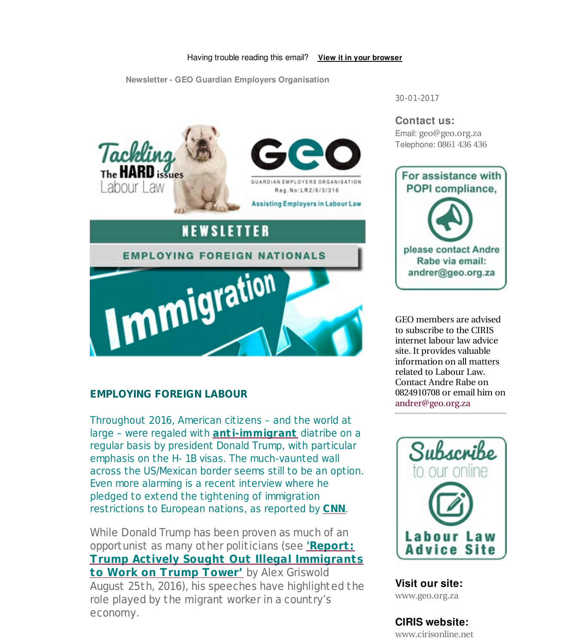



**GUARDIAN FMPLOYERS ORGANISATION** Reg. No: LR2/6/3/316

**Assisting Employers in Labour Law** 

## NEWSLETTER

### **EMPLOYING FOREIGN NATIONALS**



### **EMPLOYING FOREIGN LABOUR**

Throughout 2016, American citizens – and the world at large – were regaled with **ant i-immigrant** diatribe on a regular basis by president Donald Trump, with particular emphasis on the H- 1B visas. The much-vaunted wall across the US/Mexican border seems still to be an option. Even more alarming is a recent interview where he pledged to extend the tightening of immigration restrictions to European nations, as reported by **CNN**.

While Donald Trump has been proven as much of an opportunist as many other politicians (see **'Report: Trump Actively Sought Out Illegal Immigrants to Work on Trump Tower'** by Alex Griswold August 25th, 2016), his speeches have highlighted the role played by the migrant worker in a country's economy.

30-01-2017

# **Contact us:**

Email: geo@geo.org.za Telephone: 0861 436 436



GEO members are advised to subscribe to the CIRIS internet labour law advice site. It provides valuable information on all matters related to Labour Law. Contact Andre Rabe on 0824910708 or email him on andrer@geo.org.za



**Visit our site:** www.geo.org.za

### **CIRIS website:**

www.cirisonline.net